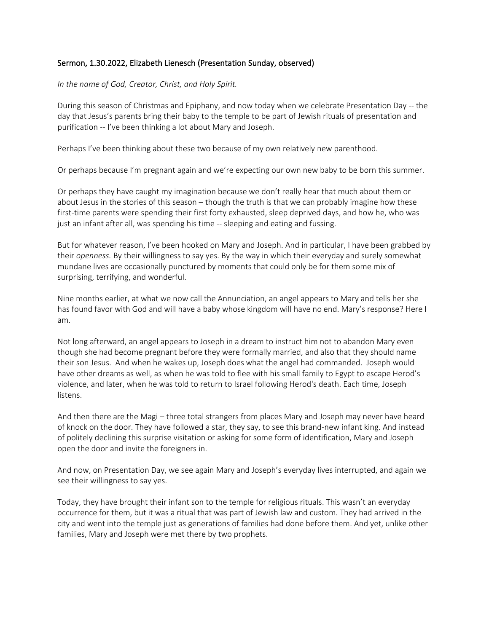## Sermon, 1.30.2022, Elizabeth Lienesch (Presentation Sunday, observed)

## *In the name of God, Creator, Christ, and Holy Spirit.*

During this season of Christmas and Epiphany, and now today when we celebrate Presentation Day -- the day that Jesus's parents bring their baby to the temple to be part of Jewish rituals of presentation and purification -- I've been thinking a lot about Mary and Joseph.

Perhaps I've been thinking about these two because of my own relatively new parenthood.

Or perhaps because I'm pregnant again and we're expecting our own new baby to be born this summer.

Or perhaps they have caught my imagination because we don't really hear that much about them or about Jesus in the stories of this season – though the truth is that we can probably imagine how these first-time parents were spending their first forty exhausted, sleep deprived days, and how he, who was just an infant after all, was spending his time -- sleeping and eating and fussing.

But for whatever reason, I've been hooked on Mary and Joseph. And in particular, I have been grabbed by their *openness.* By their willingness to say yes. By the way in which their everyday and surely somewhat mundane lives are occasionally punctured by moments that could only be for them some mix of surprising, terrifying, and wonderful.

Nine months earlier, at what we now call the Annunciation, an angel appears to Mary and tells her she has found favor with God and will have a baby whose kingdom will have no end. Mary's response? Here I am.

Not long afterward, an angel appears to Joseph in a dream to instruct him not to abandon Mary even though she had become pregnant before they were formally married, and also that they should name their son Jesus. And when he wakes up, Joseph does what the angel had commanded. Joseph would have other dreams as well, as when he was told to flee with his small family to Egypt to escape Herod's violence, and later, when he was told to return to Israel following Herod's death. Each time, Joseph listens.

And then there are the Magi – three total strangers from places Mary and Joseph may never have heard of knock on the door. They have followed a star, they say, to see this brand-new infant king. And instead of politely declining this surprise visitation or asking for some form of identification, Mary and Joseph open the door and invite the foreigners in.

And now, on Presentation Day, we see again Mary and Joseph's everyday lives interrupted, and again we see their willingness to say yes.

Today, they have brought their infant son to the temple for religious rituals. This wasn't an everyday occurrence for them, but it was a ritual that was part of Jewish law and custom. They had arrived in the city and went into the temple just as generations of families had done before them. And yet, unlike other families, Mary and Joseph were met there by two prophets.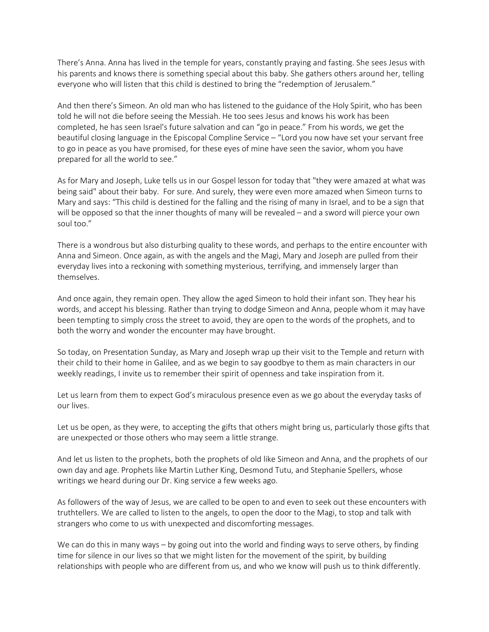There's Anna. Anna has lived in the temple for years, constantly praying and fasting. She sees Jesus with his parents and knows there is something special about this baby. She gathers others around her, telling everyone who will listen that this child is destined to bring the "redemption of Jerusalem."

And then there's Simeon. An old man who has listened to the guidance of the Holy Spirit, who has been told he will not die before seeing the Messiah. He too sees Jesus and knows his work has been completed, he has seen Israel's future salvation and can "go in peace." From his words, we get the beautiful closing language in the Episcopal Compline Service – "Lord you now have set your servant free to go in peace as you have promised, for these eyes of mine have seen the savior, whom you have prepared for all the world to see."

As for Mary and Joseph, Luke tells us in our Gospel lesson for today that "they were amazed at what was being said" about their baby. For sure. And surely, they were even more amazed when Simeon turns to Mary and says: "This child is destined for the falling and the rising of many in Israel, and to be a sign that will be opposed so that the inner thoughts of many will be revealed – and a sword will pierce your own soul too."

There is a wondrous but also disturbing quality to these words, and perhaps to the entire encounter with Anna and Simeon. Once again, as with the angels and the Magi, Mary and Joseph are pulled from their everyday lives into a reckoning with something mysterious, terrifying, and immensely larger than themselves.

And once again, they remain open. They allow the aged Simeon to hold their infant son. They hear his words, and accept his blessing. Rather than trying to dodge Simeon and Anna, people whom it may have been tempting to simply cross the street to avoid, they are open to the words of the prophets, and to both the worry and wonder the encounter may have brought.

So today, on Presentation Sunday, as Mary and Joseph wrap up their visit to the Temple and return with their child to their home in Galilee, and as we begin to say goodbye to them as main characters in our weekly readings, I invite us to remember their spirit of openness and take inspiration from it.

Let us learn from them to expect God's miraculous presence even as we go about the everyday tasks of our lives.

Let us be open, as they were, to accepting the gifts that others might bring us, particularly those gifts that are unexpected or those others who may seem a little strange.

And let us listen to the prophets, both the prophets of old like Simeon and Anna, and the prophets of our own day and age. Prophets like Martin Luther King, Desmond Tutu, and Stephanie Spellers, whose writings we heard during our Dr. King service a few weeks ago.

As followers of the way of Jesus, we are called to be open to and even to seek out these encounters with truthtellers. We are called to listen to the angels, to open the door to the Magi, to stop and talk with strangers who come to us with unexpected and discomforting messages.

We can do this in many ways – by going out into the world and finding ways to serve others, by finding time for silence in our lives so that we might listen for the movement of the spirit, by building relationships with people who are different from us, and who we know will push us to think differently.